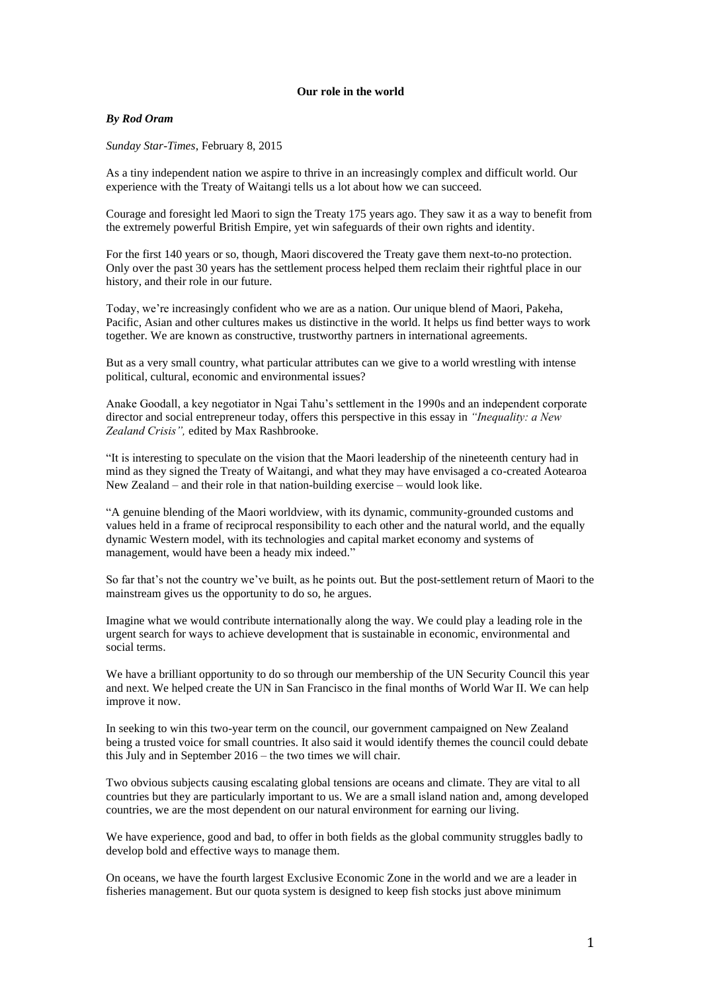## **Our role in the world**

## *By Rod Oram*

*Sunday Star-Times*, February 8, 2015

As a tiny independent nation we aspire to thrive in an increasingly complex and difficult world. Our experience with the Treaty of Waitangi tells us a lot about how we can succeed.

Courage and foresight led Maori to sign the Treaty 175 years ago. They saw it as a way to benefit from the extremely powerful British Empire, yet win safeguards of their own rights and identity.

For the first 140 years or so, though, Maori discovered the Treaty gave them next-to-no protection. Only over the past 30 years has the settlement process helped them reclaim their rightful place in our history, and their role in our future.

Today, we're increasingly confident who we are as a nation. Our unique blend of Maori, Pakeha, Pacific, Asian and other cultures makes us distinctive in the world. It helps us find better ways to work together. We are known as constructive, trustworthy partners in international agreements.

But as a very small country, what particular attributes can we give to a world wrestling with intense political, cultural, economic and environmental issues?

Anake Goodall, a key negotiator in Ngai Tahu's settlement in the 1990s and an independent corporate director and social entrepreneur today, offers this perspective in this essay in *"Inequality: a New Zealand Crisis",* edited by Max Rashbrooke.

"It is interesting to speculate on the vision that the Maori leadership of the nineteenth century had in mind as they signed the Treaty of Waitangi, and what they may have envisaged a co-created Aotearoa New Zealand – and their role in that nation-building exercise – would look like.

"A genuine blending of the Maori worldview, with its dynamic, community-grounded customs and values held in a frame of reciprocal responsibility to each other and the natural world, and the equally dynamic Western model, with its technologies and capital market economy and systems of management, would have been a heady mix indeed."

So far that's not the country we've built, as he points out. But the post-settlement return of Maori to the mainstream gives us the opportunity to do so, he argues.

Imagine what we would contribute internationally along the way. We could play a leading role in the urgent search for ways to achieve development that is sustainable in economic, environmental and social terms.

We have a brilliant opportunity to do so through our membership of the UN Security Council this year and next. We helped create the UN in San Francisco in the final months of World War II. We can help improve it now.

In seeking to win this two-year term on the council, our government campaigned on New Zealand being a trusted voice for small countries. It also said it would identify themes the council could debate this July and in September 2016 – the two times we will chair.

Two obvious subjects causing escalating global tensions are oceans and climate. They are vital to all countries but they are particularly important to us. We are a small island nation and, among developed countries, we are the most dependent on our natural environment for earning our living.

We have experience, good and bad, to offer in both fields as the global community struggles badly to develop bold and effective ways to manage them.

On oceans, we have the fourth largest Exclusive Economic Zone in the world and we are a leader in fisheries management. But our quota system is designed to keep fish stocks just above minimum